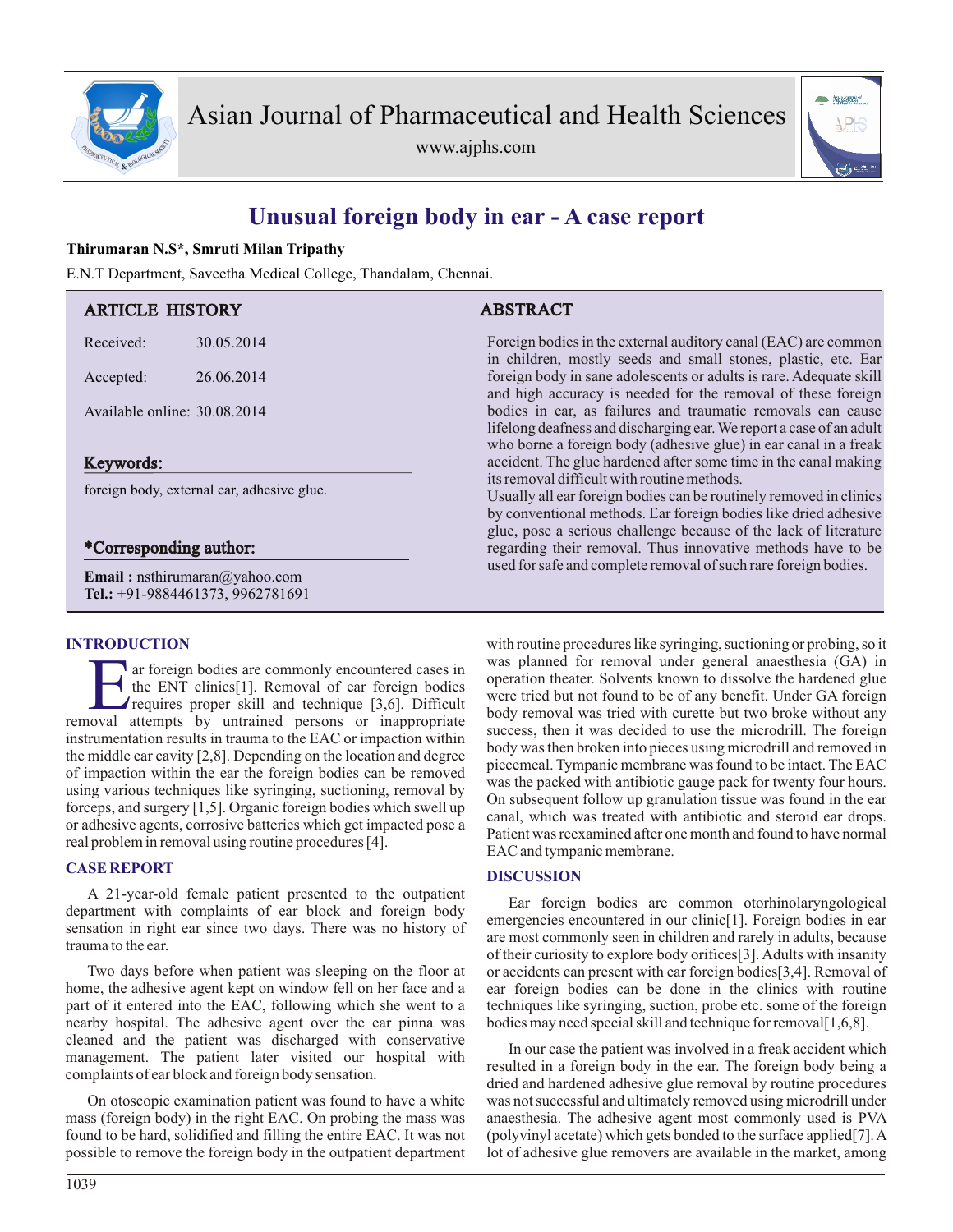

www.ajphs.com



# **Unusual foreign body in ear - A case report**

### **Thirumaran N.S\*, Smruti Milan Tripathy**

E.N.T Department, Saveetha Medical College, Thandalam, Chennai.

| <b>ARTICLE HISTORY</b>                                                   |            | <b>ABSTRACT</b>                                                                                                                                                                                                                                                                                                                                                                            |
|--------------------------------------------------------------------------|------------|--------------------------------------------------------------------------------------------------------------------------------------------------------------------------------------------------------------------------------------------------------------------------------------------------------------------------------------------------------------------------------------------|
| Received:                                                                | 30.05.2014 | Foreign bodies in the external auditory canal (EAC) are common<br>in children, mostly seeds and small stones, plastic, etc. Ear<br>foreign body in sane adolescents or adults is rare. Adequate skill<br>and high accuracy is needed for the removal of these foreign                                                                                                                      |
| Accepted:                                                                | 26.06.2014 |                                                                                                                                                                                                                                                                                                                                                                                            |
| Available online: 30.08.2014                                             |            | bodies in ear, as failures and traumatic removals can cause<br>lifelong deafness and discharging ear. We report a case of an adult<br>who borne a foreign body (adhesive glue) in ear canal in a freak                                                                                                                                                                                     |
| Keywords:                                                                |            | accident. The glue hardened after some time in the canal making                                                                                                                                                                                                                                                                                                                            |
| foreign body, external ear, adhesive glue.                               |            | its removal difficult with routine methods.<br>Usually all ear foreign bodies can be routinely removed in clinics<br>by conventional methods. Ear foreign bodies like dried adhesive<br>glue, pose a serious challenge because of the lack of literature<br>regarding their removal. Thus innovative methods have to be<br>used for safe and complete removal of such rare foreign bodies. |
| *Corresponding author:                                                   |            |                                                                                                                                                                                                                                                                                                                                                                                            |
| <b>Email:</b> nsthirumaran@yahoo.com<br>Tel.: +91-9884461373, 9962781691 |            |                                                                                                                                                                                                                                                                                                                                                                                            |

#### **INTRODUCTION**

ar foreign bodies are commonly encountered cases in<br>the ENT clinics[1]. Removal of ear foreign bodies<br>requires proper skill and technique [3,6]. Difficult<br>removal attempts by untrained persons or inappropriate ar foreign bodies are commonly encountered cases in the ENT clinics<sup>[1]</sup>. Removal of ear foreign bodies requires proper skill and technique [3,6]. Difficult instrumentation results in trauma to the EAC or impaction within the middle ear cavity [2,8]. Depending on the location and degree of impaction within the ear the foreign bodies can be removed using various techniques like syringing, suctioning, removal by forceps, and surgery [1,5]. Organic foreign bodies which swell up or adhesive agents, corrosive batteries which get impacted pose a real problem in removal using routine procedures [4].

#### **CASE REPORT**

A 21-year-old female patient presented to the outpatient department with complaints of ear block and foreign body sensation in right ear since two days. There was no history of trauma to the ear.

Two days before when patient was sleeping on the floor at home, the adhesive agent kept on window fell on her face and a part of it entered into the EAC, following which she went to a nearby hospital. The adhesive agent over the ear pinna was cleaned and the patient was discharged with conservative management. The patient later visited our hospital with complaints of ear block and foreign body sensation.

On otoscopic examination patient was found to have a white mass (foreign body) in the right EAC. On probing the mass was found to be hard, solidified and filling the entire EAC. It was not possible to remove the foreign body in the outpatient department with routine procedures like syringing, suctioning or probing, so it was planned for removal under general anaesthesia (GA) in operation theater. Solvents known to dissolve the hardened glue were tried but not found to be of any benefit. Under GA foreign body removal was tried with curette but two broke without any success, then it was decided to use the microdrill. The foreign body was then broken into pieces using microdrill and removed in piecemeal. Tympanic membrane was found to be intact. The EAC was the packed with antibiotic gauge pack for twenty four hours. On subsequent follow up granulation tissue was found in the ear canal, which was treated with antibiotic and steroid ear drops. Patient was reexamined after one month and found to have normal EAC and tympanic membrane.

#### **DISCUSSION**

Ear foreign bodies are common otorhinolaryngological emergencies encountered in our clinic[1]. Foreign bodies in ear are most commonly seen in children and rarely in adults, because of their curiosity to explore body orifices[3]. Adults with insanity or accidents can present with ear foreign bodies[3,4]. Removal of ear foreign bodies can be done in the clinics with routine techniques like syringing, suction, probe etc. some of the foreign bodies may need special skill and technique for removal[1,6,8].

In our case the patient was involved in a freak accident which resulted in a foreign body in the ear. The foreign body being a dried and hardened adhesive glue removal by routine procedures was not successful and ultimately removed using microdrill under anaesthesia. The adhesive agent most commonly used is PVA (polyvinyl acetate) which gets bonded to the surface applied[7]. A lot of adhesive glue removers are available in the market, among